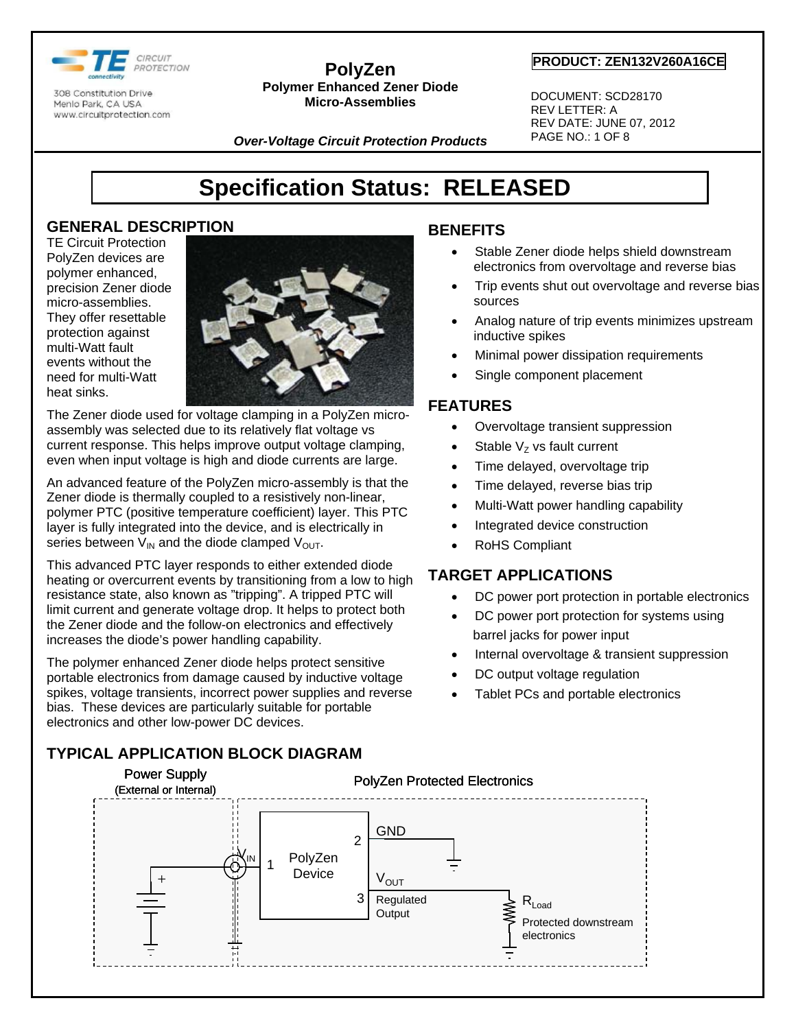

**PolyZen Polymer Enhanced Zener Diode Micro-Assemblies** 

#### **PRODUCT: ZEN132V260A16CE**

 DOCUMENT: SCD28170 REV LETTER: A REV DATE: JUNE 07, 2012 PAGE NO.: 1 OF 8

*Over-Voltage Circuit Protection Products*

# **Specification Status: RELEASED**

### **GENERAL DESCRIPTION**

TE Circuit Protection PolyZen devices are polymer enhanced, precision Zener diode micro-assemblies. They offer resettable protection against multi-Watt fault events without the need for multi-Watt heat sinks.



The Zener diode used for voltage clamping in a PolyZen microassembly was selected due to its relatively flat voltage vs current response. This helps improve output voltage clamping, even when input voltage is high and diode currents are large.

An advanced feature of the PolyZen micro-assembly is that the Zener diode is thermally coupled to a resistively non-linear, polymer PTC (positive temperature coefficient) layer. This PTC layer is fully integrated into the device, and is electrically in series between  $V_{IN}$  and the diode clamped  $V_{OUT}$ .

This advanced PTC layer responds to either extended diode heating or overcurrent events by transitioning from a low to high resistance state, also known as "tripping". A tripped PTC will limit current and generate voltage drop. It helps to protect both the Zener diode and the follow-on electronics and effectively increases the diode's power handling capability.

The polymer enhanced Zener diode helps protect sensitive portable electronics from damage caused by inductive voltage spikes, voltage transients, incorrect power supplies and reverse bias. These devices are particularly suitable for portable electronics and other low-power DC devices.

#### **BENEFITS**

- Stable Zener diode helps shield downstream electronics from overvoltage and reverse bias
- Trip events shut out overvoltage and reverse bias sources
- Analog nature of trip events minimizes upstream inductive spikes
- Minimal power dissipation requirements
- Single component placement

## **FEATURES**

- Overvoltage transient suppression
- Stable  $V_z$  vs fault current
- Time delayed, overvoltage trip
- Time delayed, reverse bias trip
- Multi-Watt power handling capability
- Integrated device construction
- RoHS Compliant

# **TARGET APPLICATIONS**

- DC power port protection in portable electronics
- DC power port protection for systems using barrel jacks for power input
- Internal overvoltage & transient suppression
- DC output voltage regulation
- Tablet PCs and portable electronics



# **TYPICAL APPLICATION BLOCK DIAGRAM**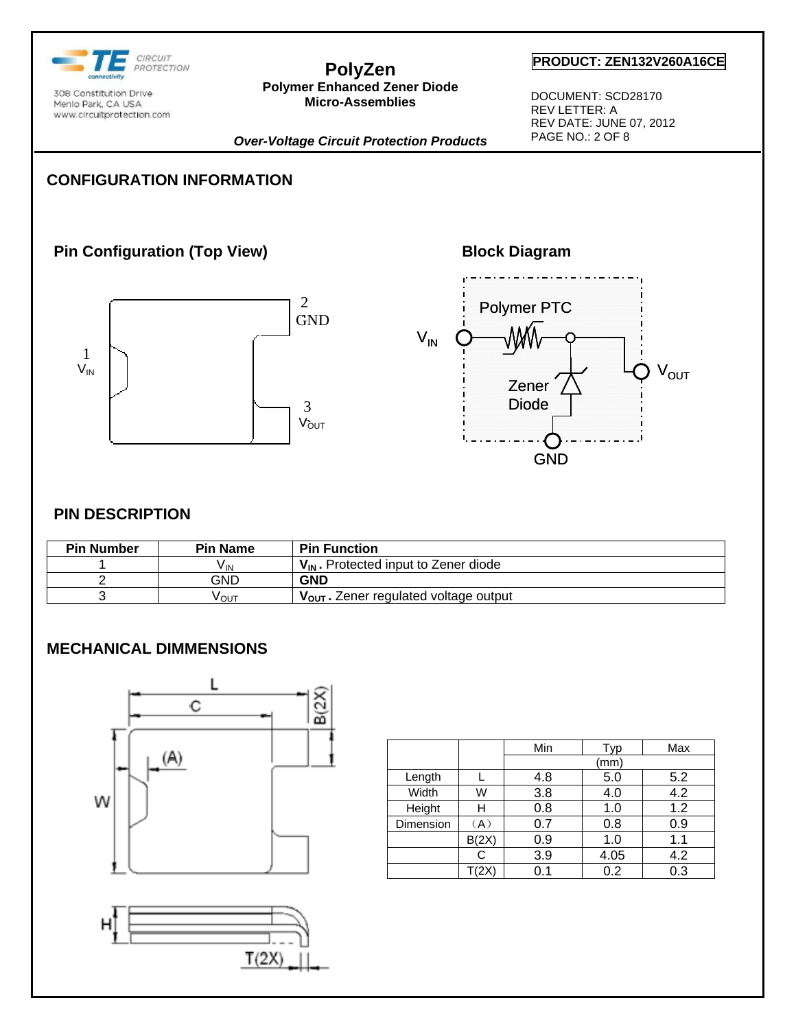

**PolyZen Polymer Enhanced Zener Diode Micro-Assemblies** 

#### **PRODUCT: ZEN132V260A16CE**

 DOCUMENT: SCD28170 REV LETTER: A REV DATE: JUNE 07, 2012 PAGE NO.: 2 OF 8

*Over-Voltage Circuit Protection Products*

# **CONFIGURATION INFORMATION**

# **Pin Configuration (Top View)**



# **Block Diagram**



#### **PIN DESCRIPTION**

| <b>Pin Number</b> | <b>Pin Name</b>  | <b>Pin Function</b>                               |
|-------------------|------------------|---------------------------------------------------|
|                   | V IN             | $V_{IN}$ . Protected input to Zener diode         |
|                   | GND              | <b>GND</b>                                        |
|                   | V <sub>OUT</sub> | $V_{\text{OUT}}$ . Zener regulated voltage output |

### **MECHANICAL DIMMENSIONS**



|           |       | Min | Typ  | Max |
|-----------|-------|-----|------|-----|
|           |       |     | (mm) |     |
| Length    |       | 4.8 | 5.0  | 5.2 |
| Width     | W     | 3.8 | 4.0  | 4.2 |
| Height    | н     | 0.8 | 1.0  | 1.2 |
| Dimension | (A)   | 0.7 | 0.8  | 0.9 |
|           | B(2X) | 0.9 | 1.0  | 1.1 |
|           | С     | 3.9 | 4.05 | 4.2 |
|           | T(2X) | 0.1 | 0.2  | 0.3 |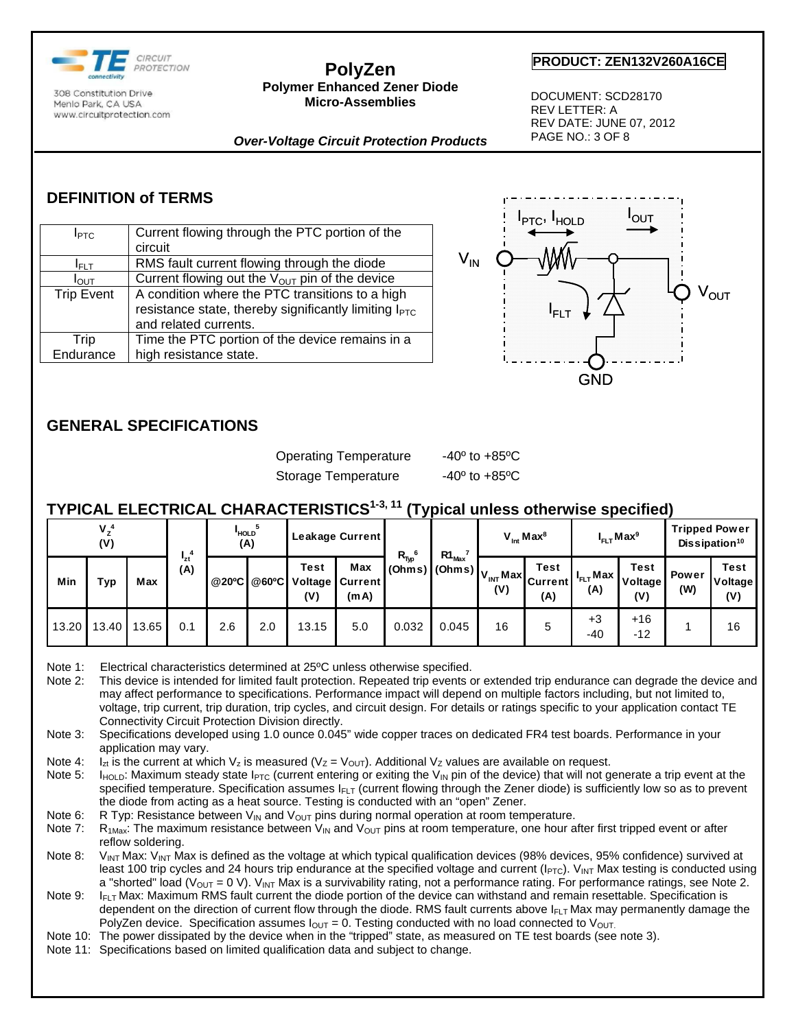

#### **PolyZen Polymer Enhanced Zener Diode Micro-Assemblies**

#### **PRODUCT: ZEN132V260A16CE**

 DOCUMENT: SCD28170 REV LETTER: A REV DATE: JUNE 07, 2012 PAGE NO.: 3 OF 8

*Over-Voltage Circuit Protection Products*

# **DEFINITION of TERMS**

| I <sub>PTC</sub>  | Current flowing through the PTC portion of the                    |
|-------------------|-------------------------------------------------------------------|
|                   | circuit                                                           |
| $I_{\text{FI T}}$ | RMS fault current flowing through the diode                       |
| $I_{\text{OUT}}$  | Current flowing out the $V_{\text{OUT}}$ pin of the device        |
| <b>Trip Event</b> | A condition where the PTC transitions to a high                   |
|                   | resistance state, thereby significantly limiting $I_{\text{PTC}}$ |
|                   | and related currents.                                             |
| Trip              | Time the PTC portion of the device remains in a                   |
| Endurance         | high resistance state.                                            |
|                   |                                                                   |



# **GENERAL SPECIFICATIONS**

Operating Temperature -40° to +85°C Storage Temperature -40° to +85°C

# **TYPICAL ELECTRICAL CHARACTERISTICS<sup>1-3, 11</sup> (Typical unless otherwise specified)**

|       | $V_2^4$<br>(V) |       | - 4        | <b>HOLD</b><br>(A) |     |                                       | Leakage Current               | $R_{\text{Typ}}^{\quad 6}$ | $R1_{\text{Max}}$                |     | $V_{int}$ Max <sup>8</sup>           |                                  | $I_{FLT}$ Max <sup>9</sup>           | <b>Tripped Power</b> | Dissipation <sup>10</sup>     |
|-------|----------------|-------|------------|--------------------|-----|---------------------------------------|-------------------------------|----------------------------|----------------------------------|-----|--------------------------------------|----------------------------------|--------------------------------------|----------------------|-------------------------------|
| Min   | Тур            | Max   | "zt<br>(A) | @20°C              |     | <b>Test</b><br>@60°C Voltage  <br>(V) | Max<br><b>Current</b><br>(mA) |                            | $I(Ohms)   (Ohms)   V_{INT}$ Max | (V) | <b>Test</b><br><b>Current</b><br>(A) | <sub>⊶ I IFLT</sub> Max I<br>(A) | <b>Test</b><br><b>Voltage</b><br>(V) | <b>Power</b><br>(W)  | <b>Test</b><br>Voltage<br>(V) |
| 13.20 | 13.40          | 13.65 | 0.1        | 2.6                | 2.0 | 13.15                                 | 5.0                           | 0.032                      | 0.045                            | 16  | 5                                    | $+3$<br>-40                      | $+16$<br>$-12$                       |                      | 16                            |

Note 1: Electrical characteristics determined at 25°C unless otherwise specified.

Note 2: This device is intended for limited fault protection. Repeated trip events or extended trip endurance can degrade the device and may affect performance to specifications. Performance impact will depend on multiple factors including, but not limited to, voltage, trip current, trip duration, trip cycles, and circuit design. For details or ratings specific to your application contact TE Connectivity Circuit Protection Division directly.

Note 3: Specifications developed using 1.0 ounce 0.045" wide copper traces on dedicated FR4 test boards. Performance in your application may vary.

Note 4: I<sub>zt</sub> is the current at which V<sub>z</sub> is measured (V<sub>Z</sub> = V<sub>OUT</sub>). Additional V<sub>z</sub> values are available on request.

Note 5:  $I_{HOLD}$ : Maximum steady state  $I_{PTC}$  (current entering or exiting the V<sub>IN</sub> pin of the device) that will not generate a trip event at the specified temperature. Specification assumes  $I_{FLT}$  (current flowing through the Zener diode) is sufficiently low so as to prevent the diode from acting as a heat source. Testing is conducted with an "open" Zener.

Note 6: R Typ: Resistance between  $V_{IN}$  and  $V_{OUT}$  pins during normal operation at room temperature.

Note 7: R<sub>1Max</sub>: The maximum resistance between V<sub>IN</sub> and V<sub>OUT</sub> pins at room temperature, one hour after first tripped event or after reflow soldering.

Note 8: V<sub>INT</sub> Max: V<sub>INT</sub> Max is defined as the voltage at which typical qualification devices (98% devices, 95% confidence) survived at least 100 trip cycles and 24 hours trip endurance at the specified voltage and current ( $I_{\text{PTC}}$ ).  $V_{\text{INT}}$  Max testing is conducted using a "shorted" load (V<sub>OUT</sub> = 0 V). V<sub>INT</sub> Max is a survivability rating, not a performance rating. For performance ratings, see Note 2.

Note 9:  $I_{FIT}$  Max: Maximum RMS fault current the diode portion of the device can withstand and remain resettable. Specification is dependent on the direction of current flow through the diode. RMS fault currents above  $I_{FIT}$  Max may permanently damage the PolyZen device. Specification assumes  $I_{\text{OUT}} = 0$ . Testing conducted with no load connected to  $V_{\text{OUT}}$ .

Note 10: The power dissipated by the device when in the "tripped" state, as measured on TE test boards (see note 3).

Note 11: Specifications based on limited qualification data and subject to change.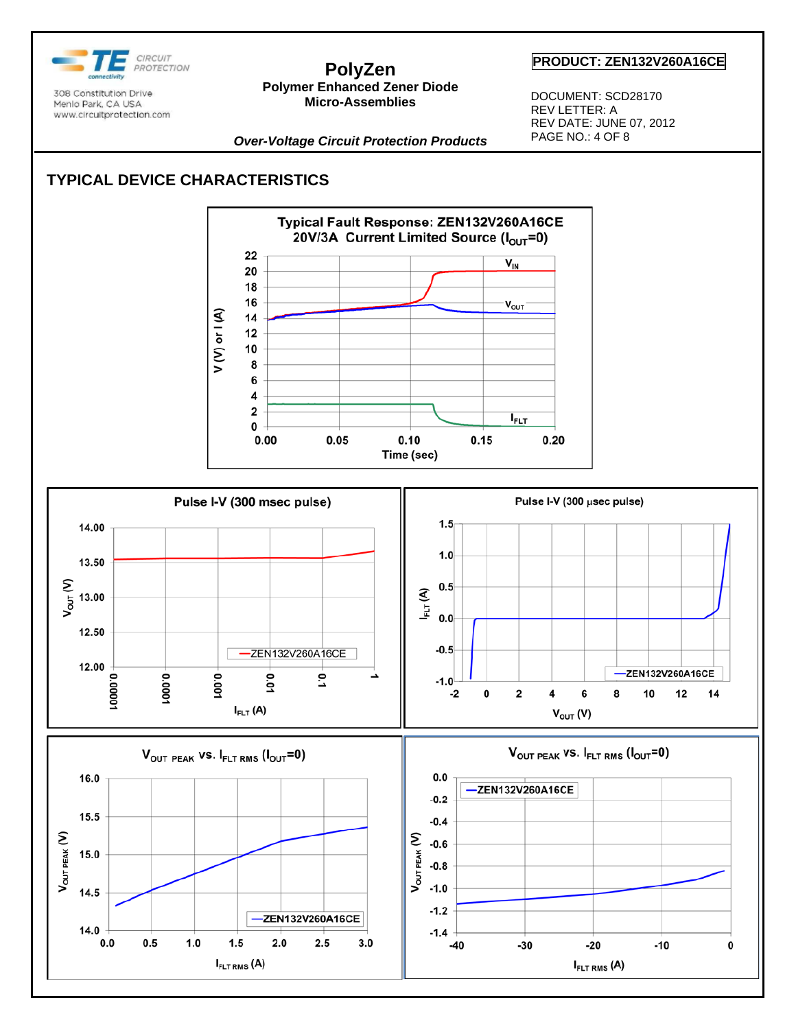

#### **PolyZen Polymer Enhanced Zener Diode Micro-Assemblies**

#### **PRODUCT: ZEN132V260A16CE**

 DOCUMENT: SCD28170 REV LETTER: A REV DATE: JUNE 07, 2012 PAGE NO.: 4 OF 8

*Over-Voltage Circuit Protection Products*

# **TYPICAL DEVICE CHARACTERISTICS**



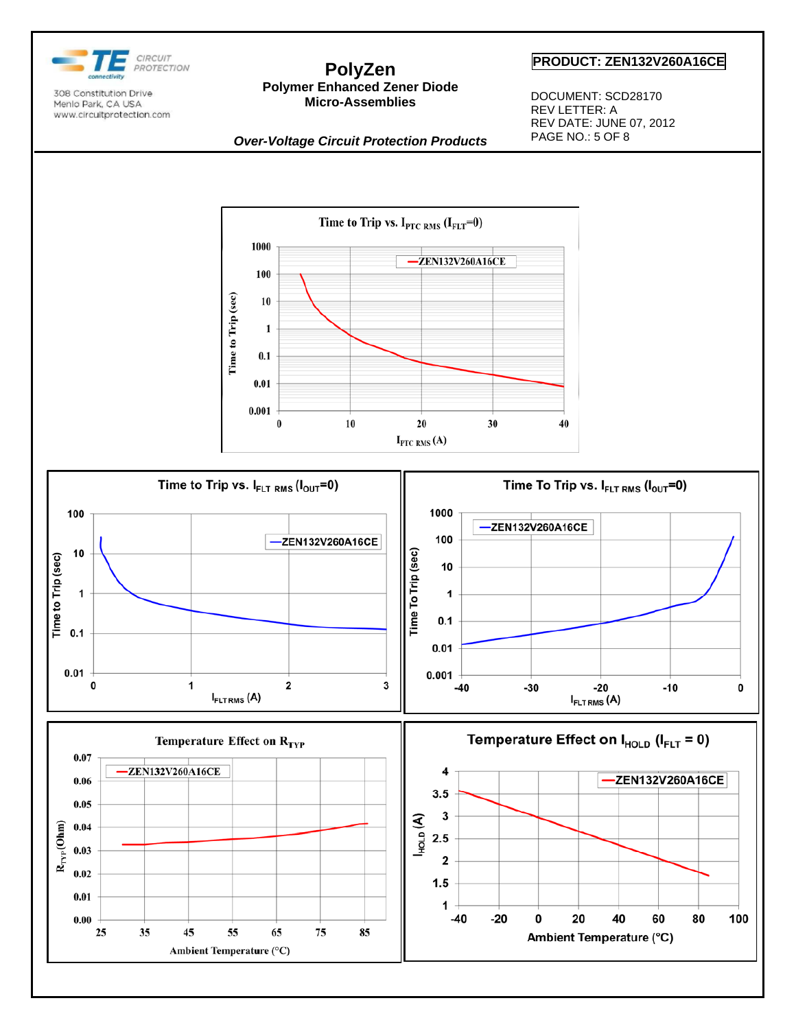

#### **PolyZen Polymer Enhanced Zener Diode Micro-Assemblies**

 **PRODUCT: ZEN132V260A16CE** 

 DOCUMENT: SCD28170 REV LETTER: A REV DATE: JUNE 07, 2012 PAGE NO.: 5 OF 8

#### *Over-Voltage Circuit Protection Products*

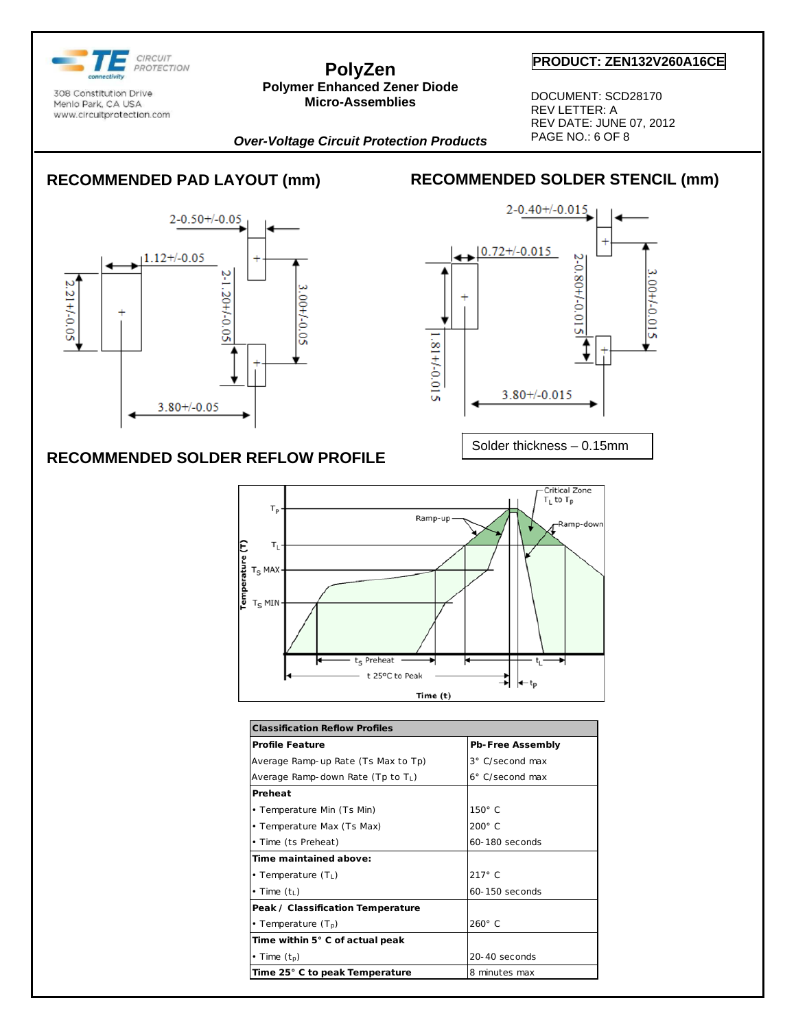

#### **PolyZen Polymer Enhanced Zener Diode Micro-Assemblies**

#### **PRODUCT: ZEN132V260A16CE**

 DOCUMENT: SCD28170 REV LETTER: A REV DATE: JUNE 07, 2012 PAGE NO.: 6 OF 8

#### *Over-Voltage Circuit Protection Products*

# **RECOMMENDED PAD LAYOUT (mm)**



**RECOMMENDED SOLDER REFLOW PROFILE** 



**RECOMMENDED SOLDER STENCIL (mm)** 

Solder thickness – 0.15mm



| <b>Classification Reflow Profiles</b> |                         |  |  |  |
|---------------------------------------|-------------------------|--|--|--|
| <b>Profile Feature</b>                | <b>Pb-Free Assembly</b> |  |  |  |
| Average Ramp-up Rate (Ts Max to Tp)   | 3° C/second max         |  |  |  |
| Average Ramp-down Rate (Tp to $T_L$ ) | 6° C/second max         |  |  |  |
| Preheat                               |                         |  |  |  |
| • Temperature Min (Ts Min)            | $150^\circ$ C           |  |  |  |
| • Temperature Max (Ts Max)            | $200^\circ$ C           |  |  |  |
| • Time (ts Preheat)                   | 60-180 seconds          |  |  |  |
| Time maintained above:                |                         |  |  |  |
| • Temperature (T <sub>L</sub> )       | $217^\circ$ C           |  |  |  |
| • Time $(t_L)$                        | 60-150 seconds          |  |  |  |
| Peak / Classification Temperature     |                         |  |  |  |
| • Temperature $(T_p)$                 | $260^\circ$ C           |  |  |  |
| Time within 5° C of actual peak       |                         |  |  |  |
| • Time $(t_p)$                        | $20 - 40$ seconds       |  |  |  |
| Time 25° C to peak Temperature        | 8 minutes max           |  |  |  |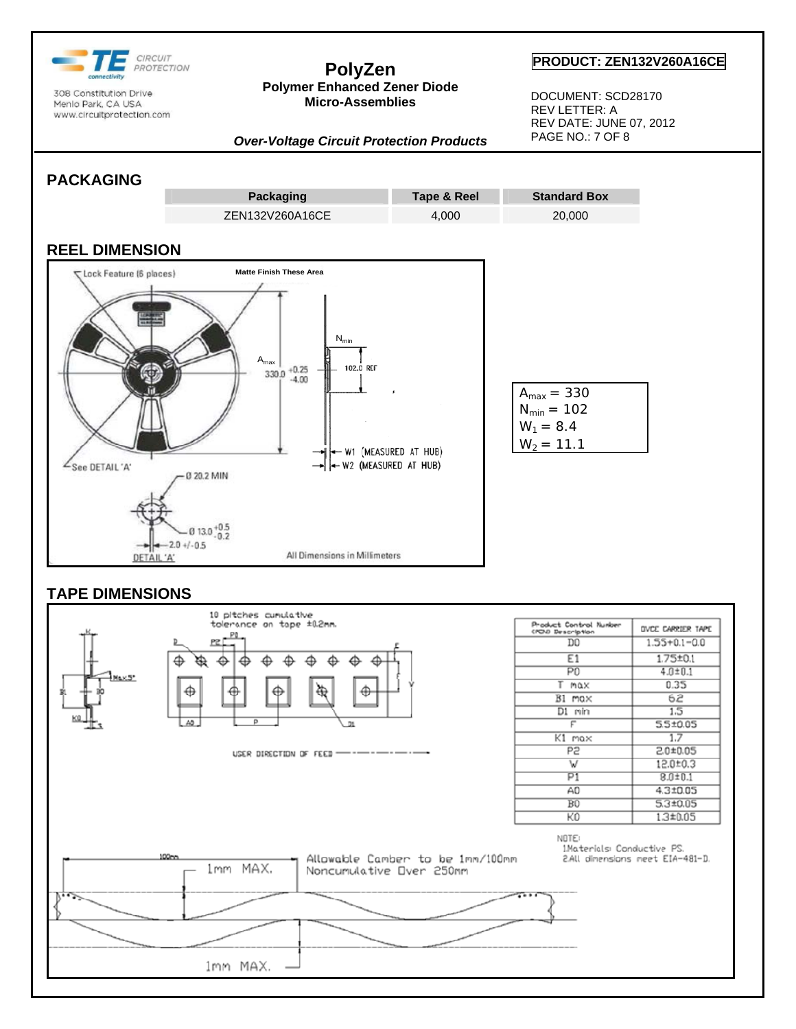

#### **PolyZen Polymer Enhanced Zener Diode Micro-Assemblies**

#### **PRODUCT: ZEN132V260A16CE**

 DOCUMENT: SCD28170 REV LETTER: A REV DATE: JUNE 07, 2012 PAGE NO.: 7 OF 8

*Over-Voltage Circuit Protection Products*

## **PACKAGING**





### **TAPE DIMENSIONS**